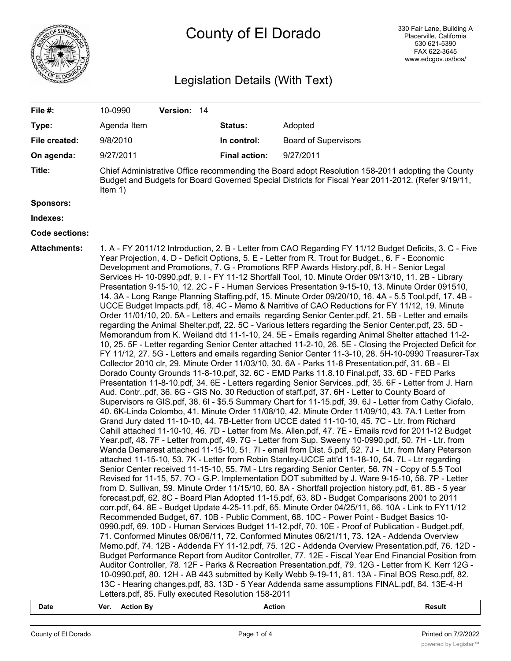

# County of El Dorado

## Legislation Details (With Text)

| File #:               | 10-0990<br>Version: 14                                                                                                                                                                                                                                                                                                                                                                                                                                                                                                                                                                                                                                                                                                                                                                                                                                                                                                                                                                                                                                                                                                                                                                                                                                                                                                                                                                                                                                                                                                                                                                                                                                                                                                                                                                                                                                                                                                                                                                                                                                                                                                                                                                                                                                                                                                                                                                                                                                                                                                                                                                                                                                                                                                                                                                                                                                                                                                                                                                                                                                                                                                                                                                                                                                                                                                                                                                                                                                                                                                                                                                                                                                                                                                                                                          |                      |                             |  |  |
|-----------------------|---------------------------------------------------------------------------------------------------------------------------------------------------------------------------------------------------------------------------------------------------------------------------------------------------------------------------------------------------------------------------------------------------------------------------------------------------------------------------------------------------------------------------------------------------------------------------------------------------------------------------------------------------------------------------------------------------------------------------------------------------------------------------------------------------------------------------------------------------------------------------------------------------------------------------------------------------------------------------------------------------------------------------------------------------------------------------------------------------------------------------------------------------------------------------------------------------------------------------------------------------------------------------------------------------------------------------------------------------------------------------------------------------------------------------------------------------------------------------------------------------------------------------------------------------------------------------------------------------------------------------------------------------------------------------------------------------------------------------------------------------------------------------------------------------------------------------------------------------------------------------------------------------------------------------------------------------------------------------------------------------------------------------------------------------------------------------------------------------------------------------------------------------------------------------------------------------------------------------------------------------------------------------------------------------------------------------------------------------------------------------------------------------------------------------------------------------------------------------------------------------------------------------------------------------------------------------------------------------------------------------------------------------------------------------------------------------------------------------------------------------------------------------------------------------------------------------------------------------------------------------------------------------------------------------------------------------------------------------------------------------------------------------------------------------------------------------------------------------------------------------------------------------------------------------------------------------------------------------------------------------------------------------------------------------------------------------------------------------------------------------------------------------------------------------------------------------------------------------------------------------------------------------------------------------------------------------------------------------------------------------------------------------------------------------------------------------------------------------------------------------------------------------------|----------------------|-----------------------------|--|--|
| Type:                 | Agenda Item                                                                                                                                                                                                                                                                                                                                                                                                                                                                                                                                                                                                                                                                                                                                                                                                                                                                                                                                                                                                                                                                                                                                                                                                                                                                                                                                                                                                                                                                                                                                                                                                                                                                                                                                                                                                                                                                                                                                                                                                                                                                                                                                                                                                                                                                                                                                                                                                                                                                                                                                                                                                                                                                                                                                                                                                                                                                                                                                                                                                                                                                                                                                                                                                                                                                                                                                                                                                                                                                                                                                                                                                                                                                                                                                                                     | Status:              | Adopted                     |  |  |
| File created:         | 9/8/2010                                                                                                                                                                                                                                                                                                                                                                                                                                                                                                                                                                                                                                                                                                                                                                                                                                                                                                                                                                                                                                                                                                                                                                                                                                                                                                                                                                                                                                                                                                                                                                                                                                                                                                                                                                                                                                                                                                                                                                                                                                                                                                                                                                                                                                                                                                                                                                                                                                                                                                                                                                                                                                                                                                                                                                                                                                                                                                                                                                                                                                                                                                                                                                                                                                                                                                                                                                                                                                                                                                                                                                                                                                                                                                                                                                        | In control:          | <b>Board of Supervisors</b> |  |  |
| On agenda:            | 9/27/2011                                                                                                                                                                                                                                                                                                                                                                                                                                                                                                                                                                                                                                                                                                                                                                                                                                                                                                                                                                                                                                                                                                                                                                                                                                                                                                                                                                                                                                                                                                                                                                                                                                                                                                                                                                                                                                                                                                                                                                                                                                                                                                                                                                                                                                                                                                                                                                                                                                                                                                                                                                                                                                                                                                                                                                                                                                                                                                                                                                                                                                                                                                                                                                                                                                                                                                                                                                                                                                                                                                                                                                                                                                                                                                                                                                       | <b>Final action:</b> | 9/27/2011                   |  |  |
| Title:                | Chief Administrative Office recommending the Board adopt Resolution 158-2011 adopting the County<br>Budget and Budgets for Board Governed Special Districts for Fiscal Year 2011-2012. (Refer 9/19/11,<br>Item $1)$                                                                                                                                                                                                                                                                                                                                                                                                                                                                                                                                                                                                                                                                                                                                                                                                                                                                                                                                                                                                                                                                                                                                                                                                                                                                                                                                                                                                                                                                                                                                                                                                                                                                                                                                                                                                                                                                                                                                                                                                                                                                                                                                                                                                                                                                                                                                                                                                                                                                                                                                                                                                                                                                                                                                                                                                                                                                                                                                                                                                                                                                                                                                                                                                                                                                                                                                                                                                                                                                                                                                                             |                      |                             |  |  |
| Sponsors:             |                                                                                                                                                                                                                                                                                                                                                                                                                                                                                                                                                                                                                                                                                                                                                                                                                                                                                                                                                                                                                                                                                                                                                                                                                                                                                                                                                                                                                                                                                                                                                                                                                                                                                                                                                                                                                                                                                                                                                                                                                                                                                                                                                                                                                                                                                                                                                                                                                                                                                                                                                                                                                                                                                                                                                                                                                                                                                                                                                                                                                                                                                                                                                                                                                                                                                                                                                                                                                                                                                                                                                                                                                                                                                                                                                                                 |                      |                             |  |  |
| Indexes:              |                                                                                                                                                                                                                                                                                                                                                                                                                                                                                                                                                                                                                                                                                                                                                                                                                                                                                                                                                                                                                                                                                                                                                                                                                                                                                                                                                                                                                                                                                                                                                                                                                                                                                                                                                                                                                                                                                                                                                                                                                                                                                                                                                                                                                                                                                                                                                                                                                                                                                                                                                                                                                                                                                                                                                                                                                                                                                                                                                                                                                                                                                                                                                                                                                                                                                                                                                                                                                                                                                                                                                                                                                                                                                                                                                                                 |                      |                             |  |  |
| <b>Code sections:</b> |                                                                                                                                                                                                                                                                                                                                                                                                                                                                                                                                                                                                                                                                                                                                                                                                                                                                                                                                                                                                                                                                                                                                                                                                                                                                                                                                                                                                                                                                                                                                                                                                                                                                                                                                                                                                                                                                                                                                                                                                                                                                                                                                                                                                                                                                                                                                                                                                                                                                                                                                                                                                                                                                                                                                                                                                                                                                                                                                                                                                                                                                                                                                                                                                                                                                                                                                                                                                                                                                                                                                                                                                                                                                                                                                                                                 |                      |                             |  |  |
| <b>Attachments:</b>   | 1. A - FY 2011/12 Introduction, 2. B - Letter from CAO Regarding FY 11/12 Budget Deficits, 3. C - Five<br>Year Projection, 4. D - Deficit Options, 5. E - Letter from R. Trout for Budget., 6. F - Economic<br>Development and Promotions, 7. G - Promotions RFP Awards History.pdf, 8. H - Senior Legal<br>Services H- 10-0990.pdf, 9.1 - FY 11-12 Shortfall Tool, 10. Minute Order 09/13/10, 11. 2B - Library<br>Presentation 9-15-10, 12. 2C - F - Human Services Presentation 9-15-10, 13. Minute Order 091510,<br>14. 3A - Long Range Planning Staffing.pdf, 15. Minute Order 09/20/10, 16. 4A - 5.5 Tool.pdf, 17. 4B -<br>UCCE Budget Impacts.pdf, 18. 4C - Memo & Narritive of CAO Reductions for FY 11/12, 19. Minute<br>Order 11/01/10, 20. 5A - Letters and emails regarding Senior Center.pdf, 21. 5B - Letter and emails<br>regarding the Animal Shelter.pdf, 22. 5C - Various letters regarding the Senior Center.pdf, 23. 5D -<br>Memorandum from K. Weiland dtd 11-1-10, 24. 5E - Emails regarding Animal Shelter attached 11-2-<br>10, 25. 5F - Letter regarding Senior Center attached 11-2-10, 26. 5E - Closing the Projected Deficit for<br>FY 11/12, 27. 5G - Letters and emails regarding Senior Center 11-3-10, 28. 5H-10-0990 Treasurer-Tax<br>Collector 2010 clr, 29. Minute Order 11/03/10, 30. 6A - Parks 11-8 Presentation.pdf, 31. 6B - El<br>Dorado County Grounds 11-8-10.pdf, 32. 6C - EMD Parks 11.8.10 Final.pdf, 33. 6D - FED Parks<br>Presentation 11-8-10.pdf, 34. 6E - Letters regarding Senior Servicespdf, 35. 6F - Letter from J. Harn<br>Aud. Contrpdf, 36. 6G - GIS No. 30 Reduction of staff.pdf, 37. 6H - Letter to County Board of<br>Supervisors re GIS.pdf, 38. 6I - \$5.5 Summary Chart for 11-15.pdf, 39. 6J - Letter from Cathy Ciofalo,<br>40. 6K-Linda Colombo, 41. Minute Order 11/08/10, 42. Minute Order 11/09/10, 43. 7A.1 Letter from<br>Grand Jury dated 11-10-10, 44. 7B-Letter from UCCE dated 11-10-10, 45. 7C - Ltr. from Richard<br>Cahill attached 11-10-10, 46. 7D - Letter from Ms. Allen.pdf, 47. 7E - Emails rcvd for 2011-12 Budget<br>Year.pdf, 48. 7F - Letter from.pdf, 49. 7G - Letter from Sup. Sweeny 10-0990.pdf, 50. 7H - Ltr. from<br>Wanda Demarest attached 11-15-10, 51. 7l - email from Dist. 5.pdf, 52. 7J - Ltr. from Mary Peterson<br>attached 11-15-10, 53. 7K - Letter from Robin Stanley-UCCE att'd 11-18-10, 54. 7L - Ltr regarding<br>Senior Center received 11-15-10, 55. 7M - Ltrs regarding Senior Center, 56. 7N - Copy of 5.5 Tool<br>Revised for 11-15, 57. 7O - G.P. Implementation DOT submitted by J. Ware 9-15-10, 58. 7P - Letter<br>from D. Sullivan, 59. Minute Order 11/15/10, 60. 8A - Shortfall projection history.pdf, 61. 8B - 5 year<br>forecast.pdf, 62. 8C - Board Plan Adopted 11-15.pdf, 63. 8D - Budget Comparisons 2001 to 2011<br>corr.pdf, 64. 8E - Budget Update 4-25-11.pdf, 65. Minute Order 04/25/11, 66. 10A - Link to FY11/12<br>Recommended Budget, 67. 10B - Public Comment, 68. 10C - Power Point - Budget Basics 10-<br>0990.pdf, 69. 10D - Human Services Budget 11-12.pdf, 70. 10E - Proof of Publication - Budget.pdf,<br>71. Conformed Minutes 06/06/11, 72. Conformed Minutes 06/21/11, 73. 12A - Addenda Overview<br>Memo.pdf, 74. 12B - Addenda FY 11-12.pdf, 75. 12C - Addenda Overview Presentation.pdf, 76. 12D -<br>Budget Performance Report from Auditor Controller, 77. 12E - Fiscal Year End Financial Position from<br>Auditor Controller, 78. 12F - Parks & Recreation Presentation.pdf, 79. 12G - Letter from K. Kerr 12G -<br>10-0990.pdf, 80. 12H - AB 443 submitted by Kelly Webb 9-19-11, 81. 13A - Final BOS Reso.pdf, 82.<br>13C - Hearing changes.pdf, 83. 13D - 5 Year Addenda same assumptions FINAL.pdf, 84. 13E-4-H |                      |                             |  |  |

**Date Ver. Action By Action Result**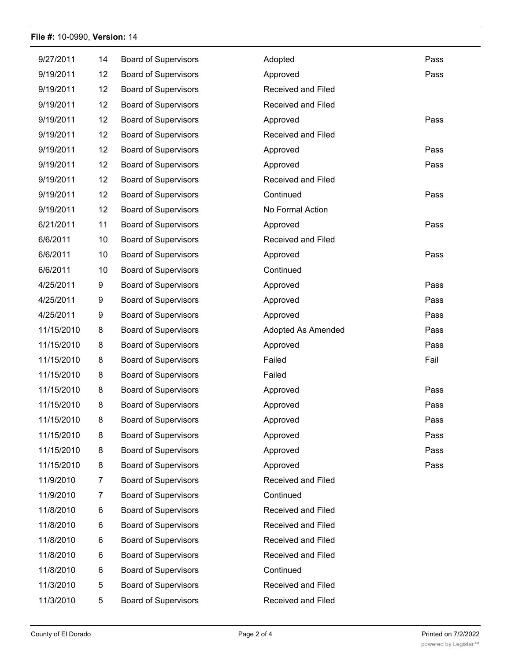#### **File #:** 10-0990, **Version:** 14

| 9/27/2011  | 14 | <b>Board of Supervisors</b> | Adopted            | Pass |
|------------|----|-----------------------------|--------------------|------|
| 9/19/2011  | 12 | <b>Board of Supervisors</b> | Approved           | Pass |
| 9/19/2011  | 12 | <b>Board of Supervisors</b> | Received and Filed |      |
| 9/19/2011  | 12 | <b>Board of Supervisors</b> | Received and Filed |      |
| 9/19/2011  | 12 | <b>Board of Supervisors</b> | Approved           | Pass |
| 9/19/2011  | 12 | <b>Board of Supervisors</b> | Received and Filed |      |
| 9/19/2011  | 12 | <b>Board of Supervisors</b> | Approved           | Pass |
| 9/19/2011  | 12 | <b>Board of Supervisors</b> | Approved           | Pass |
| 9/19/2011  | 12 | <b>Board of Supervisors</b> | Received and Filed |      |
| 9/19/2011  | 12 | <b>Board of Supervisors</b> | Continued          | Pass |
| 9/19/2011  | 12 | <b>Board of Supervisors</b> | No Formal Action   |      |
| 6/21/2011  | 11 | <b>Board of Supervisors</b> | Approved           | Pass |
| 6/6/2011   | 10 | <b>Board of Supervisors</b> | Received and Filed |      |
| 6/6/2011   | 10 | <b>Board of Supervisors</b> | Approved           | Pass |
| 6/6/2011   | 10 | <b>Board of Supervisors</b> | Continued          |      |
| 4/25/2011  | 9  | <b>Board of Supervisors</b> | Approved           | Pass |
| 4/25/2011  | 9  | <b>Board of Supervisors</b> | Approved           | Pass |
| 4/25/2011  | 9  | <b>Board of Supervisors</b> | Approved           | Pass |
| 11/15/2010 | 8  | <b>Board of Supervisors</b> | Adopted As Amended | Pass |
| 11/15/2010 | 8  | <b>Board of Supervisors</b> | Approved           | Pass |
| 11/15/2010 | 8  | <b>Board of Supervisors</b> | Failed             | Fail |
| 11/15/2010 | 8  | <b>Board of Supervisors</b> | Failed             |      |
| 11/15/2010 | 8  | <b>Board of Supervisors</b> | Approved           | Pass |
| 11/15/2010 | 8  | <b>Board of Supervisors</b> | Approved           | Pass |
| 11/15/2010 | 8  | <b>Board of Supervisors</b> | Approved           | Pass |
| 11/15/2010 | 8  | <b>Board of Supervisors</b> | Approved           | Pass |
| 11/15/2010 | 8  | <b>Board of Supervisors</b> | Approved           | Pass |
| 11/15/2010 | 8  | <b>Board of Supervisors</b> | Approved           | Pass |
| 11/9/2010  | 7  | <b>Board of Supervisors</b> | Received and Filed |      |
| 11/9/2010  | 7  | <b>Board of Supervisors</b> | Continued          |      |
| 11/8/2010  | 6  | <b>Board of Supervisors</b> | Received and Filed |      |
| 11/8/2010  | 6  | <b>Board of Supervisors</b> | Received and Filed |      |
| 11/8/2010  | 6  | <b>Board of Supervisors</b> | Received and Filed |      |
| 11/8/2010  | 6  | <b>Board of Supervisors</b> | Received and Filed |      |
| 11/8/2010  | 6  | <b>Board of Supervisors</b> | Continued          |      |
| 11/3/2010  | 5  | <b>Board of Supervisors</b> | Received and Filed |      |
| 11/3/2010  | 5  | <b>Board of Supervisors</b> | Received and Filed |      |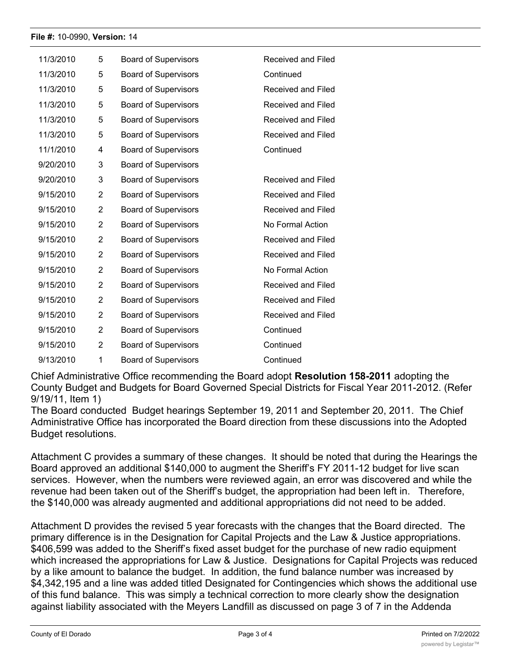#### **File #:** 10-0990, **Version:** 14

| 11/3/2010 | 5              | <b>Board of Supervisors</b> | Received and Filed |
|-----------|----------------|-----------------------------|--------------------|
| 11/3/2010 | 5              | <b>Board of Supervisors</b> | Continued          |
| 11/3/2010 | 5              | <b>Board of Supervisors</b> | Received and Filed |
| 11/3/2010 | 5              | <b>Board of Supervisors</b> | Received and Filed |
| 11/3/2010 | 5              | <b>Board of Supervisors</b> | Received and Filed |
| 11/3/2010 | 5              | <b>Board of Supervisors</b> | Received and Filed |
| 11/1/2010 | 4              | <b>Board of Supervisors</b> | Continued          |
| 9/20/2010 | 3              | <b>Board of Supervisors</b> |                    |
| 9/20/2010 | 3              | <b>Board of Supervisors</b> | Received and Filed |
| 9/15/2010 | 2              | <b>Board of Supervisors</b> | Received and Filed |
| 9/15/2010 | $\overline{2}$ | <b>Board of Supervisors</b> | Received and Filed |
| 9/15/2010 | 2              | <b>Board of Supervisors</b> | No Formal Action   |
| 9/15/2010 | $\overline{2}$ | <b>Board of Supervisors</b> | Received and Filed |
| 9/15/2010 | 2              | <b>Board of Supervisors</b> | Received and Filed |
| 9/15/2010 | $\overline{2}$ | <b>Board of Supervisors</b> | No Formal Action   |
| 9/15/2010 | 2              | <b>Board of Supervisors</b> | Received and Filed |
| 9/15/2010 | 2              | <b>Board of Supervisors</b> | Received and Filed |
| 9/15/2010 | $\overline{2}$ | <b>Board of Supervisors</b> | Received and Filed |
| 9/15/2010 | 2              | <b>Board of Supervisors</b> | Continued          |
| 9/15/2010 | $\overline{2}$ | <b>Board of Supervisors</b> | Continued          |
| 9/13/2010 | 1              | <b>Board of Supervisors</b> | Continued          |

Chief Administrative Office recommending the Board adopt **Resolution 158-2011** adopting the County Budget and Budgets for Board Governed Special Districts for Fiscal Year 2011-2012. (Refer 9/19/11, Item 1)

The Board conducted Budget hearings September 19, 2011 and September 20, 2011. The Chief Administrative Office has incorporated the Board direction from these discussions into the Adopted Budget resolutions.

Attachment C provides a summary of these changes. It should be noted that during the Hearings the Board approved an additional \$140,000 to augment the Sheriff's FY 2011-12 budget for live scan services. However, when the numbers were reviewed again, an error was discovered and while the revenue had been taken out of the Sheriff's budget, the appropriation had been left in. Therefore, the \$140,000 was already augmented and additional appropriations did not need to be added.

Attachment D provides the revised 5 year forecasts with the changes that the Board directed. The primary difference is in the Designation for Capital Projects and the Law & Justice appropriations. \$406,599 was added to the Sheriff's fixed asset budget for the purchase of new radio equipment which increased the appropriations for Law & Justice. Designations for Capital Projects was reduced by a like amount to balance the budget. In addition, the fund balance number was increased by \$4,342,195 and a line was added titled Designated for Contingencies which shows the additional use of this fund balance. This was simply a technical correction to more clearly show the designation against liability associated with the Meyers Landfill as discussed on page 3 of 7 in the Addenda